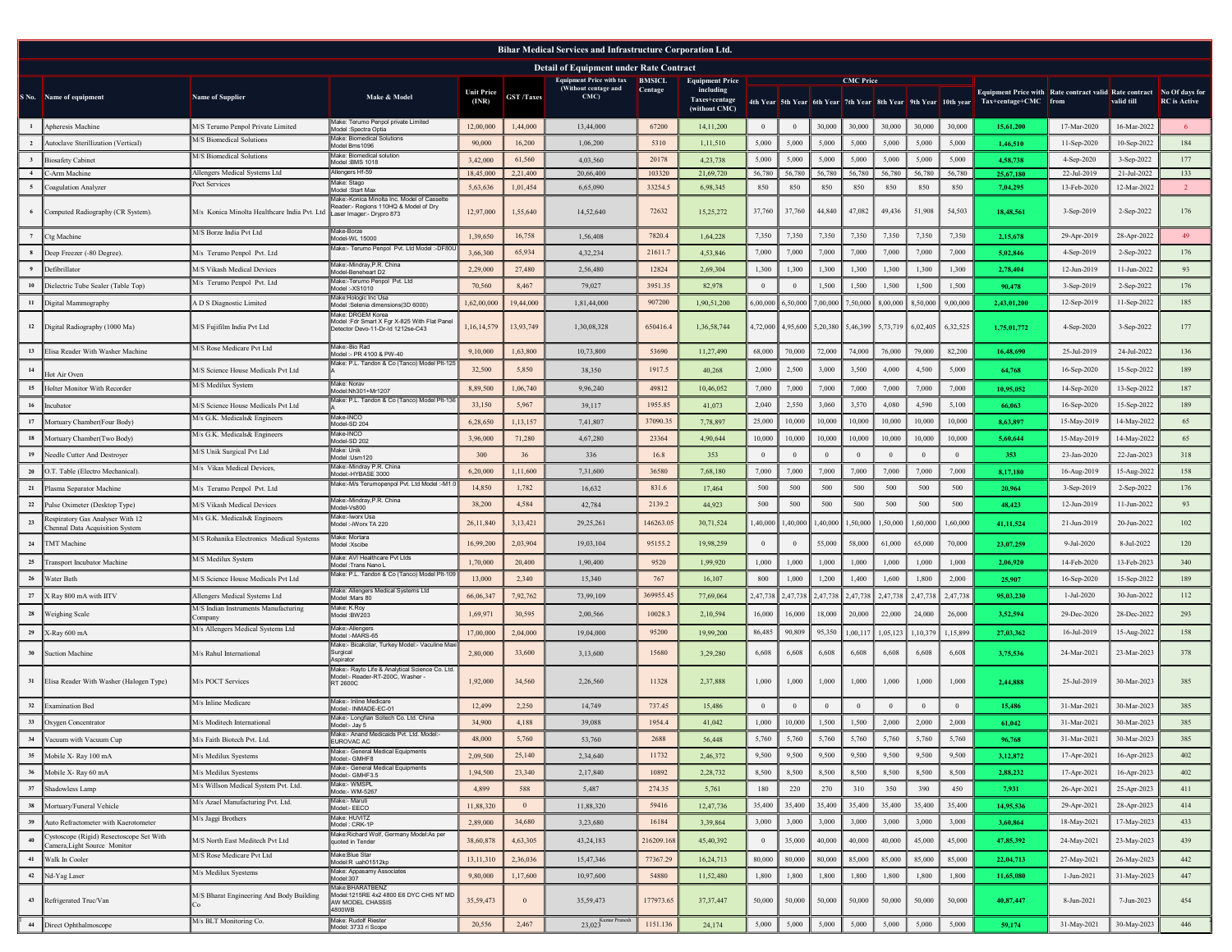| Bihar Medical Services and Infrastructure Corporation Ltd. |                                                                     |                                                 |                                                                                                                    |                            |                   |                                                                |            |                                     |                |                |                            |                  |                   |          |                                                                 |                                                                       |             |             |                     |
|------------------------------------------------------------|---------------------------------------------------------------------|-------------------------------------------------|--------------------------------------------------------------------------------------------------------------------|----------------------------|-------------------|----------------------------------------------------------------|------------|-------------------------------------|----------------|----------------|----------------------------|------------------|-------------------|----------|-----------------------------------------------------------------|-----------------------------------------------------------------------|-------------|-------------|---------------------|
|                                                            |                                                                     |                                                 |                                                                                                                    |                            |                   | <b>Detail of Equipment under Rate Contract</b>                 |            |                                     |                |                |                            |                  |                   |          |                                                                 |                                                                       |             |             |                     |
|                                                            |                                                                     |                                                 |                                                                                                                    |                            |                   | <b>Equipment Price with tax BMSICL</b><br>(Without centage and | Centage    | <b>Equipment Price</b><br>including |                |                |                            | <b>CMC Price</b> |                   |          |                                                                 | Equipment Price with Rate contract valid Rate contract No Of days for |             |             |                     |
| S No.                                                      | Name of equipment                                                   | Name of Supplier                                | Make & Model                                                                                                       | <b>Unit Price</b><br>(INR) | <b>GST</b> /Taxes | CMC                                                            |            | Taxes+centage<br>(without CMC)      |                |                |                            |                  |                   |          | 4th Year 5th Year 6th Year 7th Year 8th Year 9th Year 10th year | Tax+centage+CMC from                                                  |             | valid till  | <b>RC</b> is Active |
| <sup>1</sup>                                               | Apheresis Machine                                                   | M/S Terumo Penpol Private Limited               | Make: Terumo Penpol private Limited<br>Model :Spectra Optia                                                        | 12,00,000                  | 1,44,000          | 13,44,000                                                      | 67200      | 14,11,200                           | $\overline{0}$ | $\overline{0}$ | 30,000                     | 30,000           | 30,000            | 30,000   | 30,000                                                          | 15,61,200                                                             | 17-Mar-2020 | 16-Mar-2022 | -6                  |
| 2                                                          | Autoclave Sterillization (Vertical)                                 | M/S Biomedical Solutions                        | Make: Biomedical Solutions<br>Model Bms1096                                                                        | 90,000                     | 16,200            | 1.06.200                                                       | 5310       | 1,11,510                            | 5,000          | 5,000          | 5,000                      | 5,000            | 5,000             | 5,000    | 5,000                                                           | 1,46,510                                                              | 11-Sep-2020 | 10-Sep-2022 | 184                 |
|                                                            | <b>Biosafety Cabinet</b>                                            | M/S Biomedical Solutions                        | Make: Biomedical solution<br>Model BMS 1018                                                                        | 3,42,000                   | 61,560            | 4.03.560                                                       | 20178      | 4.23.738                            | 5,000          | 5,000          | 5,000                      | 5,000            | 5,000             | 5,000    | 5,000                                                           | 4.58.738                                                              | 4-Sep-2020  | 3-Sep-2022  | 177                 |
| 4                                                          | C-Arm Machine                                                       | Allengers Medical Systems Ltd                   | Allengers Hf-59                                                                                                    | 18,45,000                  | 2,21,400          | 20,66,400                                                      | 103320     | 21,69,720                           | 56,780         | 56,780         | 56,780                     | 56,780           | 56,780            | 56,780   | 56,780                                                          | 25.67.180                                                             | 22-Jul-2019 | 21-Jul-2022 | 133                 |
|                                                            | Coagulation Analyzer                                                | Poct Services                                   | Make: Stago<br>Model:Start Max                                                                                     | 5,63,636                   | 1,01,454          | 6,65,090                                                       | 33254.5    | 6,98,345                            | 850            | 850            | 850                        | 850              | 850               | 850      | 850                                                             | 7,04,295                                                              | 13-Feb-2020 | 12-Mar-2022 | $\overline{2}$      |
| 6                                                          | Computed Radiography (CR System).                                   | M/s Konica Minolta Healthcare India Pvt. Ltd    | Vlake:-Konica Minolta Inc. Model of Cassette<br>Reader:- Regions 110HQ & Model of Drv<br>Laser Imager:- Drypro 873 | 12,97,000                  | 1,55,640          | 14,52,640                                                      | 72632      | 15,25,272                           | 37,760         | 37,760         | 44,840                     | 47,082           | 49,436            | 51,908   | 54,503                                                          | 18.48.561                                                             | 3-Sep-2019  | 2-Sep-2022  | 176                 |
|                                                            | Ctg Machine                                                         | M/S Borze India Pvt Ltd                         | Make-Borze<br>Model-WL 15000                                                                                       | 1,39,650                   | 16,758            | 1,56,408                                                       | 7820.4     | 1,64,228                            | 7,350          | 7,350          | 7,350                      | 7,350            | 7,350             | 7,350    | 7,350                                                           | 2,15,678                                                              | 29-Apr-2019 | 28-Apr-2022 | 49                  |
| 8                                                          | Deep Freezer (-80 Degree).                                          | M/s Terumo Penpol Pvt. Ltd                      | Make:- Terumo Penpol Pvt. Ltd Model :- DF80L                                                                       | 3,66,300                   | 65,934            | 4,32,234                                                       | 21611.7    | 4,53,846                            | 7,000          | 7,000          | 7,000                      | 7,000            | 7,000             | 7,000    | 7,000                                                           | 5,02,846                                                              | 4-Sep-2019  | 2-Sep-2022  | 176                 |
|                                                            | Defibrillator                                                       | M/S Vikash Medical Devices                      | Make:-Mindray,P.R. China<br>Model-Beneheart D2                                                                     | 2.29.000                   | 27,480            | 2.56.480                                                       | 12824      | 2.69,304                            | 1,300          | 1,300          | 1,300                      | 1,300            | 1,300             | 1,300    | 1,300                                                           | 2,78,404                                                              | 12-Jun-2019 | 11-Jun-2022 | 93                  |
| 10                                                         | Dielectric Tube Sealer (Table Top)                                  | M/s Terumo Penpol Pvt. Ltd                      | Make:-Terumo Penpol Pvt. Ltd<br>Model -XS1010                                                                      | 70.560                     | 8,467             | 79,027                                                         | 3951.35    | 82,978                              | $\bf{0}$       | $\theta$       | 1,500                      | 1,500            | 1,500             | 1,500    | 1,500                                                           | 90,478                                                                | 3-Sep-2019  | 2-Sep-2022  | 176                 |
|                                                            | 11   Digital Mammography                                            | A D S Diagnostic Limited                        | Make:Hologic Inc Usa<br>Model :Selenia dimensions(3D 6000)                                                         | 1,62,00,000                | 19,44,000         | 1.81.44.000                                                    | 907200     | 1,90,51,200                         | 6,00,000       | 6,50,000       | 7,00,000                   | 7,50,000         | 8,00,000          | 8,50,000 | 9,00,000                                                        | 2,43,01,200                                                           | 12-Sep-2019 | 11-Sep-2022 | 185                 |
|                                                            | 12  Digital Radiography (1000 Ma)                                   | M/S Fujifilm India Pvt Ltd                      | Make: DRGEM Korea<br>Model :Fdr Smart X Fgr X-825 With Flat Panel<br>Detector Devo-11-Dr-Id 1212se-C43             | 1,16,14,579                | 13,93,749         | 1,30,08,328                                                    | 650416.4   | 1,36,58,744                         |                |                | 4,72,000 4,95,600 5,20,380 | 5,46,399         | 5,73,719 6,02,405 |          | 6,32,525                                                        | 1,75,01,772                                                           | 4-Sep-2020  | 3-Sep-2022  | 177                 |
| 13                                                         | Elisa Reader With Washer Machine                                    | M/S Rose Medicare Pvt Ltd                       | Make:-Bio Rad<br>Model :- PR 4100 & PW-40                                                                          | 9.10.000                   | 1,63,800          | 10,73,800                                                      | 53690      | 11,27,490                           | 68,000         | 70,000         | 72,000                     | 74,000           | 76,000            | 79,000   | 82,200                                                          | 16,48,690                                                             | 25-Jul-2019 | 24-Jul-2022 | 136                 |
| 14                                                         |                                                                     | M/S Science House Medicals Pvt Ltd              | Make: P.L. Tandon & Co (Tanco) Model Plt-125                                                                       | 32,500                     | 5,850             | 38,350                                                         | 1917.5     | 40.268                              | 2,000          | 2,500          | 3,000                      | 3,500            | 4,000             | 4,500    | 5,000                                                           |                                                                       |             | 15-Sep-2022 | 189                 |
|                                                            | Hot Air Oven                                                        | M/S Medilux System                              | Make: Noray                                                                                                        |                            |                   |                                                                |            |                                     |                |                |                            |                  |                   |          |                                                                 | 64,768                                                                | 16-Sep-2020 |             |                     |
| 15                                                         | Holter Monitor With Recorder                                        |                                                 | Model:Nh301+Mr1207<br>Vlake: P.L. Tandon & Co (Tanco) Model Plt-136                                                | 8.89.500                   | 1,06,740          | 9.96.240                                                       | 49812      | 10.46.052                           | 7,000          | 7,000          | 7,000                      | 7,000            | 7,000             | 7,000    | 7,000                                                           | 10.95.052                                                             | 14-Sep-2020 | 13-Sep-2022 | 187                 |
| 16                                                         | Incubator                                                           | M/S Science House Medicals Pvt Ltd              | Make-INCO                                                                                                          | 33,150                     | 5,967             | 39,117                                                         | 1955.85    | 41,073                              | 2,040          | 2,550          | 3,060                      | 3,570            | 4.080             | 4,590    | 5,100                                                           | 66.063                                                                | 16-Sep-2020 | 15-Sep-2022 | 189                 |
| 17                                                         | Mortuary Chamber(Four Body)                                         | M/s G.K. Medicals& Engineers                    | Model-SD 204<br>Make-INCO                                                                                          | 6,28,650                   | 1,13,157          | 7,41,807                                                       | 37090.35   | 7,78,897                            | 25,000         | 10,000         | 10,000                     | 10,000           | 10,000            | 10,000   | 10,000                                                          | 8,63,897                                                              | 15-May-2019 | 14-May-2022 | 65                  |
| 18                                                         | Mortuary Chamber(Two Body)                                          | M/s G.K. Medicals& Engineers                    | Model-SD 202                                                                                                       | 3,96,000                   | 71,280            | 4.67.280                                                       | 23364      | 4,90,644                            | 10,000         | 10,000         | 10,000                     | 10,000           | 10,000            | 10,000   | 10,000                                                          | 5,60,644                                                              | 15-May-2019 | 14-May-2022 | 65                  |
| 19                                                         | Needle Cutter And Destroyer                                         | M/S Unik Surgical Pvt Ltd                       | Make: Unik<br>Model:Usm120                                                                                         | 300                        | 36                | 336                                                            | 16.8       | 353                                 | $\theta$       | $\mathbf{0}$   | $\mathbf{0}$               | $\bf{0}$         | $\theta$          | $\theta$ | $\mathbf{0}$                                                    | 353                                                                   | 23-Jan-2020 | 22-Jan-2023 | 318                 |
| 20                                                         | O.T. Table (Electro Mechanical).                                    | M/s Vikas Medical Devices.                      | Make:-Mindray P.R. China<br>Model:-HYBASE 3000                                                                     | 6,20,000                   | 1,11,600          | 7,31,600                                                       | 36580      | 7,68,180                            | 7,000          | 7,000          | 7,000                      | 7,000            | 7,000             | 7,000    | 7,000                                                           | 8,17,180                                                              | 16-Aug-2019 | 15-Aug-2022 | 158                 |
|                                                            | 21 Plasma Separator Machine                                         | M/s Terumo Penpol Pvt. Ltd                      | Make:-M/s Terumopenpol Pvt. Ltd Model :-M1.                                                                        | 14,850                     | 1,782             | 16,632                                                         | 831.6      | 17,464                              | 500            | 500            | 500                        | 500              | 500               | 500      | 500                                                             | 20.964                                                                | 3-Sep-2019  | 2-Sep-2022  | 176                 |
| 22                                                         | Pulse Oximeter (Desktop Type)                                       | M/S Vikash Medical Devices                      | Make:-Mindray,P.R. China<br>Model-Vs800                                                                            | 38,200                     | 4,584             | 42.784                                                         | 2139.2     | 44,923                              | 500            | 500            | 500                        | 500              | 500               | 500      | 500                                                             | 48.423                                                                | 12-Jun-2019 | 11-Jun-2022 | 93                  |
| 23                                                         | Respiratory Gas Analyser With 12<br>Chennal Data Acquisition System | M/s G.K. Medicals& Engineers                    | Make:-Iworx Usa<br>Model :-iWorx TA 220                                                                            | 26,11,840                  | 3,13,421          | 29,25,261                                                      | 146263.05  | 30,71,524                           | 1,40,000       | 1,40,000       | 1,40,000                   | 1,50,000         | 1,50,000          | 1,60,000 | 1,60,000                                                        | 41,11,524                                                             | 21-Jun-2019 | 20-Jun-2022 | 102                 |
| 24                                                         | <b>TMT</b> Machine                                                  | M/S Rohanika Electronics Medical Systems        | Make: Mortara<br>Model:Xscibe                                                                                      | 16,99,200                  | 2,03,904          | 19,03,104                                                      | 95155.2    | 19,98,259                           | $\overline{0}$ | $\mathbf{0}$   | 55,000                     | 58,000           | 61,000            | 65,000   | 70,000                                                          | 23,07,259                                                             | 9-Jul-2020  | 8-Jul-2022  | 120                 |
| 25                                                         | <b>Transport Incubator Machine</b>                                  | M/S Medilux System                              | Make: AVI Healthcare Pvt Ltds<br>Model :Trans Nano L                                                               | 1,70,000                   | 20,400            | 1,90,400                                                       | 9520       | 1,99,920                            | 1,000          | 1,000          | 1,000                      | 1,000            | 1,000             | 1,000    | 1,000                                                           | 2,06,920                                                              | 14-Feb-2020 | 13-Feb-2023 | 340                 |
| 26                                                         | Water Bath                                                          | M/S Science House Medicals Pvt Ltd              | Make: P.L. Tandon & Co (Tanco) Model Plt-10                                                                        | 13,000                     | 2,340             | 15,340                                                         | 767        | 16,107                              | 800            | 1,000          | 1,200                      | 1,400            | 1,600             | 1,800    | 2,000                                                           | 25,907                                                                | 16-Sep-2020 | 15-Sep-2022 | 189                 |
| 27                                                         | X Ray 800 mA with IITV                                              | Allengers Medical Systems Ltd                   | Make: Allengers Medical Systems Ltd<br>Model: Mars 80                                                              | 66,06,347                  | 7,92,762          | 73.99.109                                                      | 369955.45  | 77,69,064                           | 2.47.738       | 2,47,738       | 2,47,738                   | 2,47,738         | 2,47,738          | 2,47,738 | 2.47.738                                                        | 95.03.230                                                             | 1-Jul-2020  | 30-Jun-2022 | 112                 |
| 28                                                         | Weighing Scale                                                      | M/S Indian Instruments Manufacturing<br>Company | Make: K.Roy<br>Model BW203                                                                                         | 1,69,971                   | 30,595            | 2,00,566                                                       | 10028.3    | 2,10,594                            | 16,000         | 16,000         | 18,000                     | 20,000           | 22,000            | 24,000   | 26,000                                                          | 3,52,594                                                              | 29-Dec-2020 | 28-Dec-2022 | 293                 |
| 29                                                         | X-Ray 600 mA                                                        | M/s Allengers Medical Systems Ltd               | Make:-Allengers<br>Model:-MARS-65                                                                                  | 17,00,000                  | 2,04,000          | 19,04,000                                                      | 95200      | 19,99,200                           | 86,485         | 90,809         | 95,350                     | 1,00,11          | 1,05,123          | 1,10,37  | 1,15,899                                                        | 27.03.362                                                             | 16-Jul-2019 | 15-Aug-2022 | 158                 |
| 30                                                         | <b>Suction Machine</b>                                              | M/s Rahul International                         | Make:- Bicakcilar, Turkey Model:- Vaculine Max<br>Surgical<br>Aspirator                                            | 2,80,000                   | 33,600            | 3,13,600                                                       | 15680      | 3,29,280                            | 6,608          | 6,608          | 6,608                      | 6,608            | 6,608             | 6,608    | 6,608                                                           | 3,75,536                                                              | 24-Mar-2021 | 23-Mar-2023 | 378                 |
| 31                                                         | Elisa Reader With Washer (Halogen Type)                             | M/s POCT Services                               | Make:- Rayto Life & Analytical Science Co. Ltd.<br>Model:- Reader-RT-200C, Washer -<br><b>RT 2600C</b>             | 1,92,000                   | 34,560            | 2,26,560                                                       | 11328      | 2,37,888                            | 1,000          | 1,000          | 1,000                      | 1,000            | 1,000             | 1,000    | 1,000                                                           | 2,44,888                                                              | 25-Jul-2019 | 30-Mar-2023 | 385                 |
| 32                                                         | Examination Bed                                                     | M/s Inline Medicare                             | Make:- Inline Medicare<br>Model:- INMADE-EC-01                                                                     | 12,499                     | 2,250             | 14.749                                                         | 737.45     | 15,486                              | $\overline{0}$ | $\theta$       | $\mathbf{0}$               | $\theta$         | $\Omega$          | $\Omega$ | $\theta$                                                        | 15,486                                                                | 31-Mar-2021 | 30-Mar-2023 | 385                 |
|                                                            | 33 Oxygen Concentrator                                              | M/s Moditech International                      | Make:- Longfian Scitech Co. Ltd. China<br>Model:- Jay 5                                                            | 34,900                     | 4,188             | 39,088                                                         | 1954.4     | 41,042                              | 1,000          | 10,000         | 1,500                      | 1,500            | 2,000             | 2,000    | 2,000                                                           | 61.042                                                                | 31-Mar-2021 | 30-Mar-2023 | 385                 |
| 34                                                         | Vacuum with Vacuum Cup                                              | M/s Faith Biotech Pvt. Ltd.                     | Aake:- Anand Medicaids Pvt. Ltd. Model:<br>EUROVAC AC                                                              | 48,000                     | 5,760             | 53,760                                                         | 2688       | 56,448                              | 5,760          | 5,760          | 5,760                      | 5,760            | 5,760             | 5,760    | 5,760                                                           | 96,768                                                                | 31-Mar-2021 | 30-Mar-2023 | 385                 |
| 35                                                         | Mobile X- Ray 100 mA                                                | M/s Medilux Syestems                            | Make:- General Medical Equipments<br>Model:- GMHF8                                                                 | 2,09,500                   | 25,140            | 2,34,640                                                       | 11732      | 2,46,372                            | 9,500          | 9,500          | 9,500                      | 9,500            | 9,500             | 9,500    | 9,500                                                           | 3,12,872                                                              | 17-Apr-2021 | 16-Apr-2023 | 402                 |
| 36                                                         | Mobile X-Ray 60 mA                                                  | M/s Medilux Syestems                            | Make:- General Medical Equipments<br>Model:- GMHF3.5                                                               | 1,94,500                   | 23,340            | 2,17,840                                                       | 10892      | 2,28,732                            | 8,500          | 8,500          | 8,500                      | 8,500            | 8,500             | 8,500    | 8,500                                                           | 2,88,232                                                              | 17-Apr-2021 | 16-Apr-2023 | 402                 |
|                                                            | 37 Shadowless Lamp                                                  | M/s Willson Medical System Pvt. Ltd.            | Make:- WMSPL<br>Mode:- WM-5267                                                                                     | 4,899                      | 588               | 5,487                                                          | 274.35     | 5,761                               | 180            | 220            | 270                        | 310              | 350               | 390      | 450                                                             | 7,931                                                                 | 26-Apr-2021 | 25-Apr-2023 | 411                 |
|                                                            | 38 Mortuary/Funeral Vehicle                                         | M/s Azael Manufacturing Pvt. Ltd.               | Make:- Maruti<br>Model:- EECO                                                                                      | 11,88,320                  | $\overline{0}$    | 11,88,320                                                      | 59416      | 12,47,736                           | 35,400         | 35,400         | 35,400                     | 35,400           | 35,400            | 35,400   | 35,400                                                          | 14,95,536                                                             | 29-Apr-2021 | 28-Apr-2023 | 414                 |
| 39                                                         | Auto Refractometer with Kaerotometer                                | M/s Jaggi Brothers                              | Make: HUVITZ<br>Model: CRK-1P                                                                                      | 2,89,000                   | 34,680            | 3,23,680                                                       | 16184      | 3,39,864                            | 3,000          | 3,000          | 3,000                      | 3,000            | 3,000             | 3,000    | 3,000                                                           | 3,60,864                                                              | 18-May-2021 | 17-May-2023 | 433                 |
| 40                                                         | Cystoscope (Rigid) Resectoscope Set With                            | M/S North East Meditech Pvt Ltd                 | Make:Richard Wolf, Germany Model:As per<br>quoted in Tender                                                        | 38,60,878                  | 4,63,305          | 43,24,183                                                      | 216209.168 | 45,40,392                           | $\bf{0}$       | 35,000         | 40,000                     | 40,000           | 40,000            | 45,000   | 45,000                                                          | 47,85,392                                                             | 24-May-2021 | 23-May-2023 | 439                 |
|                                                            | Camera, Light Source Monitor                                        | M/S Rose Medicare Pvt Ltd                       | Make:Blue Star                                                                                                     |                            |                   |                                                                |            |                                     |                |                |                            |                  |                   |          |                                                                 |                                                                       |             |             |                     |
| 41                                                         | Walk In Cooler                                                      | M/s Medilux Syestems                            | Model:R uah01512kp<br>Make: Appasamy Associates                                                                    | 13,11,310                  | 2,36,036          | 15,47,346                                                      | 77367.29   | 16,24,713                           | 80,000         | 80,000         | 80,000                     | 85,000           | 85,000            | 85,000   | 85,000                                                          | 22,04,713                                                             | 27-May-2021 | 26-May-2023 | 442                 |
|                                                            | 42 Nd-Yag Laser                                                     |                                                 | Model:307<br>Make BHARATBENZ                                                                                       | 9,80,000                   | 1,17,600          | 10,97,600                                                      | 54880      | 11,52,480                           | 1,800          | 1,800          | 1,800                      | 1,800            | 1,800             | 1,800    | 1,800                                                           | 11,65,080                                                             | 1-Jun-2021  | 31-May-2023 | 447                 |
|                                                            | 43 Refrigerated Truc/Van                                            | M/S Bharat Engineering And Body Building        | Model: 1215RE 4x2 4800 E6 DYC CHS NT MD<br>AW MODEL CHASSIS<br>4800WB                                              | 35,59,473                  | $\theta$          | 35,59,473                                                      | 177973.65  | 37, 37, 447                         | 50,000         | 50,000         | 50,000                     | 50,000           | 50,000            | 50,000   | 50,000                                                          | 40,87,447                                                             | 8-Jun-2021  | 7-Jun-2023  | 454                 |
|                                                            | 44 Direct Ophthalmoscope                                            | M/s BLT Monitoring Co.                          | Make: Rudolf Riester<br>Model: 3733 ri Scope                                                                       | 20,556                     | 2,467             | $23,023$ <sup>Kumar Prat</sup>                                 | 1151.136   | 24,174                              | 5,000          | 5,000          | 5,000                      | 5,000            | 5,000             | 5,000    | 5,000                                                           | 59,174                                                                | 31-May-2021 | 30-May-2023 | 446                 |